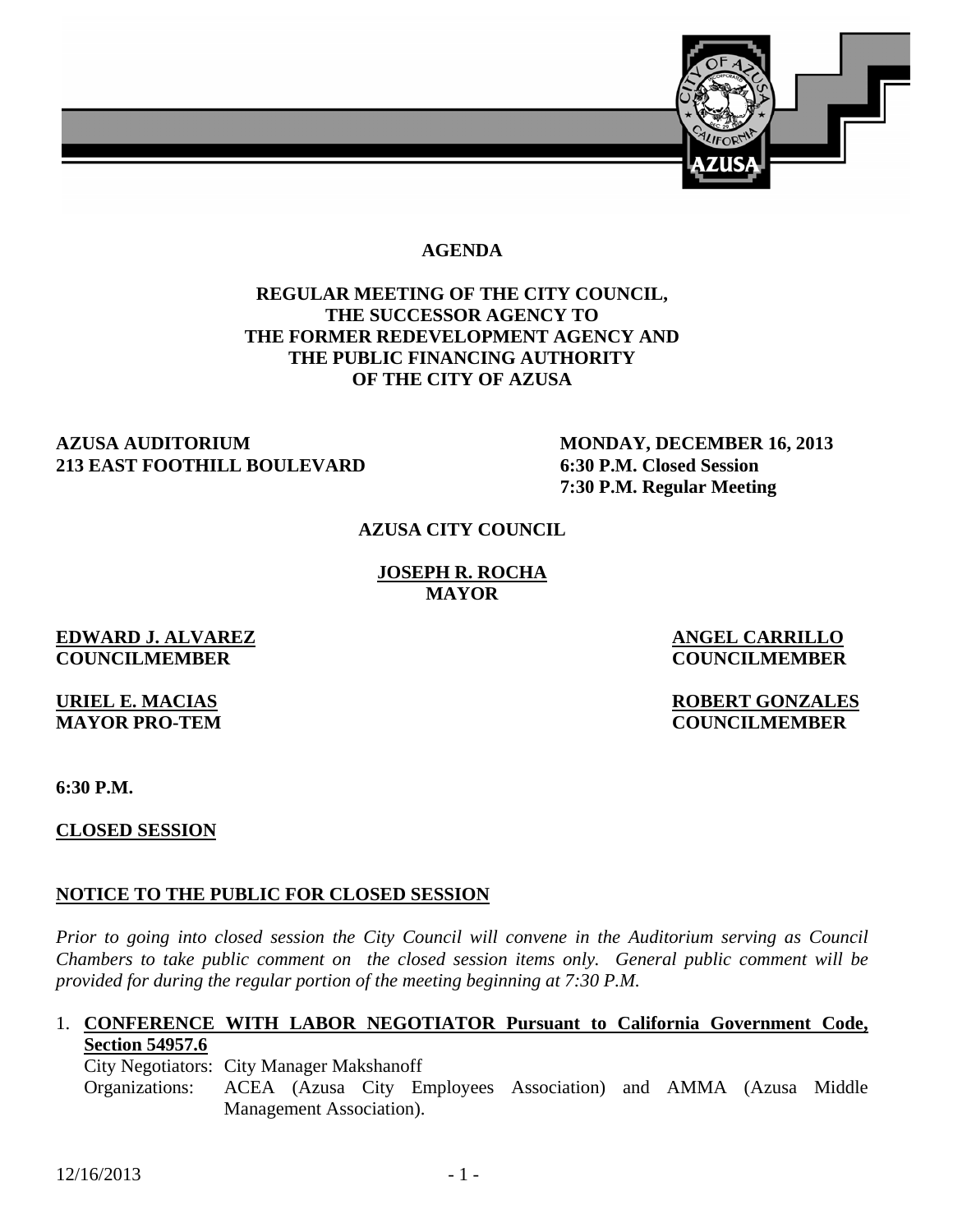

#### **AGENDA**

## **REGULAR MEETING OF THE CITY COUNCIL, THE SUCCESSOR AGENCY TO THE FORMER REDEVELOPMENT AGENCY AND THE PUBLIC FINANCING AUTHORITY OF THE CITY OF AZUSA**

#### **AZUSA AUDITORIUM MONDAY, DECEMBER 16, 2013 213 EAST FOOTHILL BOULEVARD 6:30 P.M. Closed Session**

 **7:30 P.M. Regular Meeting** 

### **AZUSA CITY COUNCIL**

**JOSEPH R. ROCHA MAYOR** 

## **EDWARD J. ALVAREZ ANGEL CARRILLO COUNCILMEMBER COUNCILMEMBER**

**URIEL E. MACIAS ROBERT GONZALES MAYOR PRO-TEM COUNCILMEMBER** 

**6:30 P.M.** 

**CLOSED SESSION**

## **NOTICE TO THE PUBLIC FOR CLOSED SESSION**

*Prior to going into closed session the City Council will convene in the Auditorium serving as Council Chambers to take public comment on the closed session items only. General public comment will be provided for during the regular portion of the meeting beginning at 7:30 P.M.* 

#### 1. **CONFERENCE WITH LABOR NEGOTIATOR Pursuant to California Government Code, Section 54957.6**

City Negotiators: City Manager Makshanoff

 Organizations: ACEA (Azusa City Employees Association) and AMMA (Azusa Middle Management Association).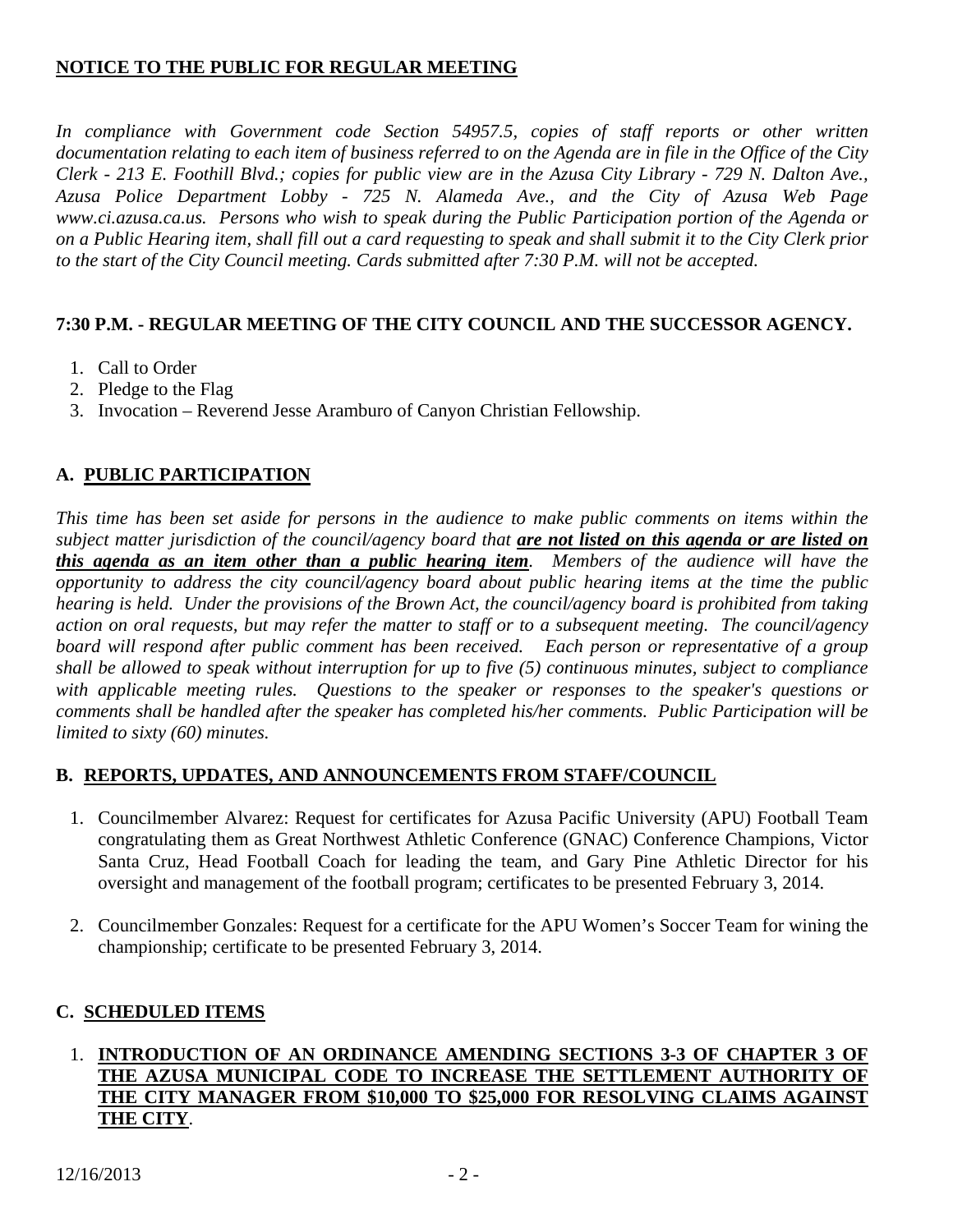# **NOTICE TO THE PUBLIC FOR REGULAR MEETING**

*In compliance with Government code Section 54957.5, copies of staff reports or other written documentation relating to each item of business referred to on the Agenda are in file in the Office of the City Clerk - 213 E. Foothill Blvd.; copies for public view are in the Azusa City Library - 729 N. Dalton Ave., Azusa Police Department Lobby - 725 N. Alameda Ave., and the City of Azusa Web Page www.ci.azusa.ca.us. Persons who wish to speak during the Public Participation portion of the Agenda or on a Public Hearing item, shall fill out a card requesting to speak and shall submit it to the City Clerk prior to the start of the City Council meeting. Cards submitted after 7:30 P.M. will not be accepted.* 

# **7:30 P.M. - REGULAR MEETING OF THE CITY COUNCIL AND THE SUCCESSOR AGENCY.**

- 1. Call to Order
- 2. Pledge to the Flag
- 3. Invocation Reverend Jesse Aramburo of Canyon Christian Fellowship.

# **A. PUBLIC PARTICIPATION**

*This time has been set aside for persons in the audience to make public comments on items within the subject matter jurisdiction of the council/agency board that are not listed on this agenda or are listed on this agenda as an item other than a public hearing item. Members of the audience will have the opportunity to address the city council/agency board about public hearing items at the time the public hearing is held. Under the provisions of the Brown Act, the council/agency board is prohibited from taking action on oral requests, but may refer the matter to staff or to a subsequent meeting. The council/agency board will respond after public comment has been received. Each person or representative of a group shall be allowed to speak without interruption for up to five (5) continuous minutes, subject to compliance with applicable meeting rules. Questions to the speaker or responses to the speaker's questions or comments shall be handled after the speaker has completed his/her comments. Public Participation will be limited to sixty (60) minutes.*

## **B. REPORTS, UPDATES, AND ANNOUNCEMENTS FROM STAFF/COUNCIL**

- 1. Councilmember Alvarez: Request for certificates for Azusa Pacific University (APU) Football Team congratulating them as Great Northwest Athletic Conference (GNAC) Conference Champions, Victor Santa Cruz, Head Football Coach for leading the team, and Gary Pine Athletic Director for his oversight and management of the football program; certificates to be presented February 3, 2014.
- 2. Councilmember Gonzales: Request for a certificate for the APU Women's Soccer Team for wining the championship; certificate to be presented February 3, 2014.

# **C. SCHEDULED ITEMS**

## 1. **INTRODUCTION OF AN ORDINANCE AMENDING SECTIONS 3-3 OF CHAPTER 3 OF THE AZUSA MUNICIPAL CODE TO INCREASE THE SETTLEMENT AUTHORITY OF THE CITY MANAGER FROM \$10,000 TO \$25,000 FOR RESOLVING CLAIMS AGAINST THE CITY**.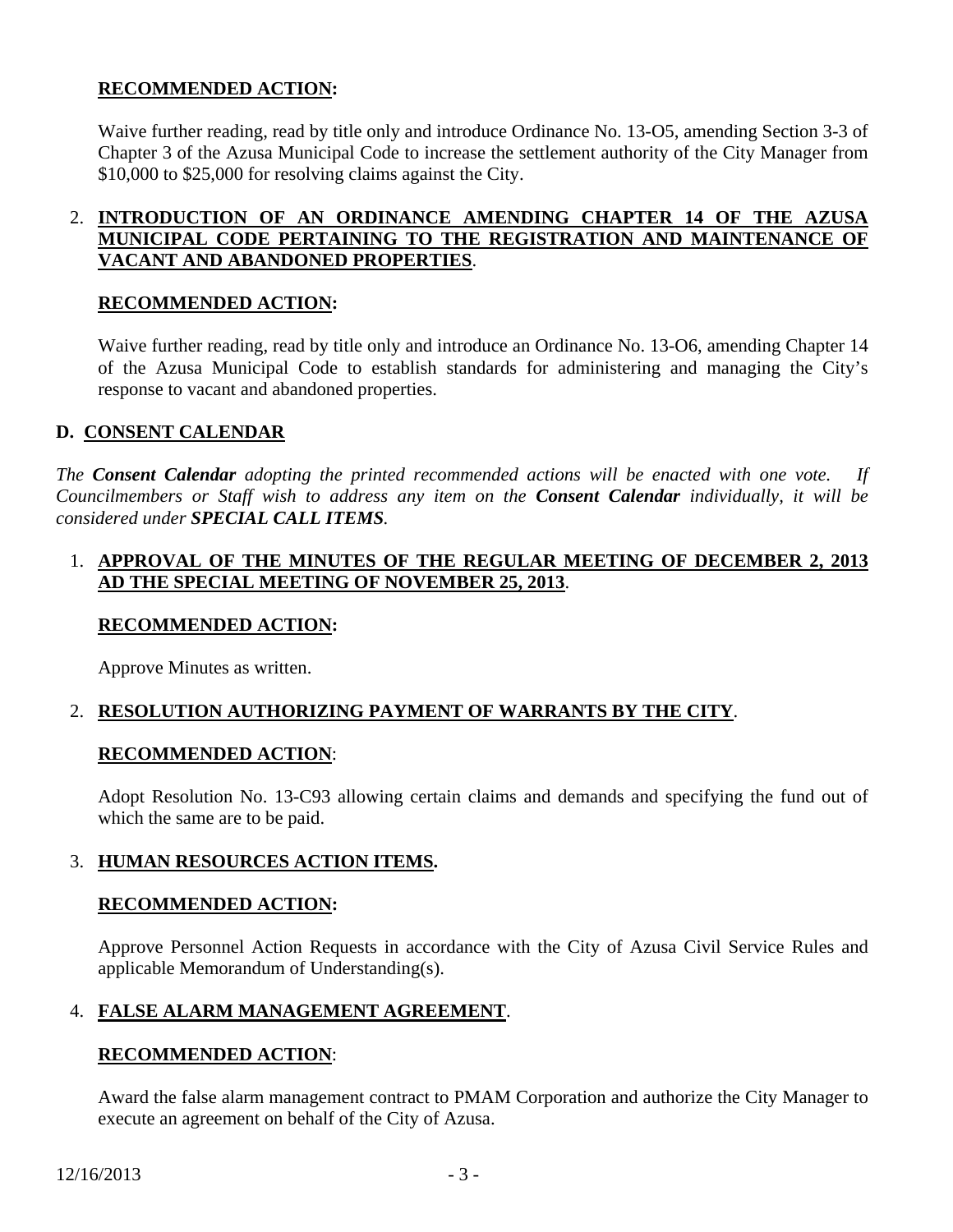## **RECOMMENDED ACTION:**

Waive further reading, read by title only and introduce Ordinance No. 13-O5, amending Section 3-3 of Chapter 3 of the Azusa Municipal Code to increase the settlement authority of the City Manager from \$10,000 to \$25,000 for resolving claims against the City.

## 2. **INTRODUCTION OF AN ORDINANCE AMENDING CHAPTER 14 OF THE AZUSA MUNICIPAL CODE PERTAINING TO THE REGISTRATION AND MAINTENANCE OF VACANT AND ABANDONED PROPERTIES**.

#### **RECOMMENDED ACTION:**

Waive further reading, read by title only and introduce an Ordinance No. 13-O6, amending Chapter 14 of the Azusa Municipal Code to establish standards for administering and managing the City's response to vacant and abandoned properties.

### **D. CONSENT CALENDAR**

*The Consent Calendar adopting the printed recommended actions will be enacted with one vote. If Councilmembers or Staff wish to address any item on the Consent Calendar individually, it will be considered under SPECIAL CALL ITEMS.* 

### 1. **APPROVAL OF THE MINUTES OF THE REGULAR MEETING OF DECEMBER 2, 2013 AD THE SPECIAL MEETING OF NOVEMBER 25, 2013**.

#### **RECOMMENDED ACTION:**

Approve Minutes as written.

## 2. **RESOLUTION AUTHORIZING PAYMENT OF WARRANTS BY THE CITY**.

#### **RECOMMENDED ACTION**:

Adopt Resolution No. 13-C93 allowing certain claims and demands and specifying the fund out of which the same are to be paid.

## 3. **HUMAN RESOURCES ACTION ITEMS.**

#### **RECOMMENDED ACTION:**

Approve Personnel Action Requests in accordance with the City of Azusa Civil Service Rules and applicable Memorandum of Understanding(s).

#### 4. **FALSE ALARM MANAGEMENT AGREEMENT**.

#### **RECOMMENDED ACTION**:

Award the false alarm management contract to PMAM Corporation and authorize the City Manager to execute an agreement on behalf of the City of Azusa.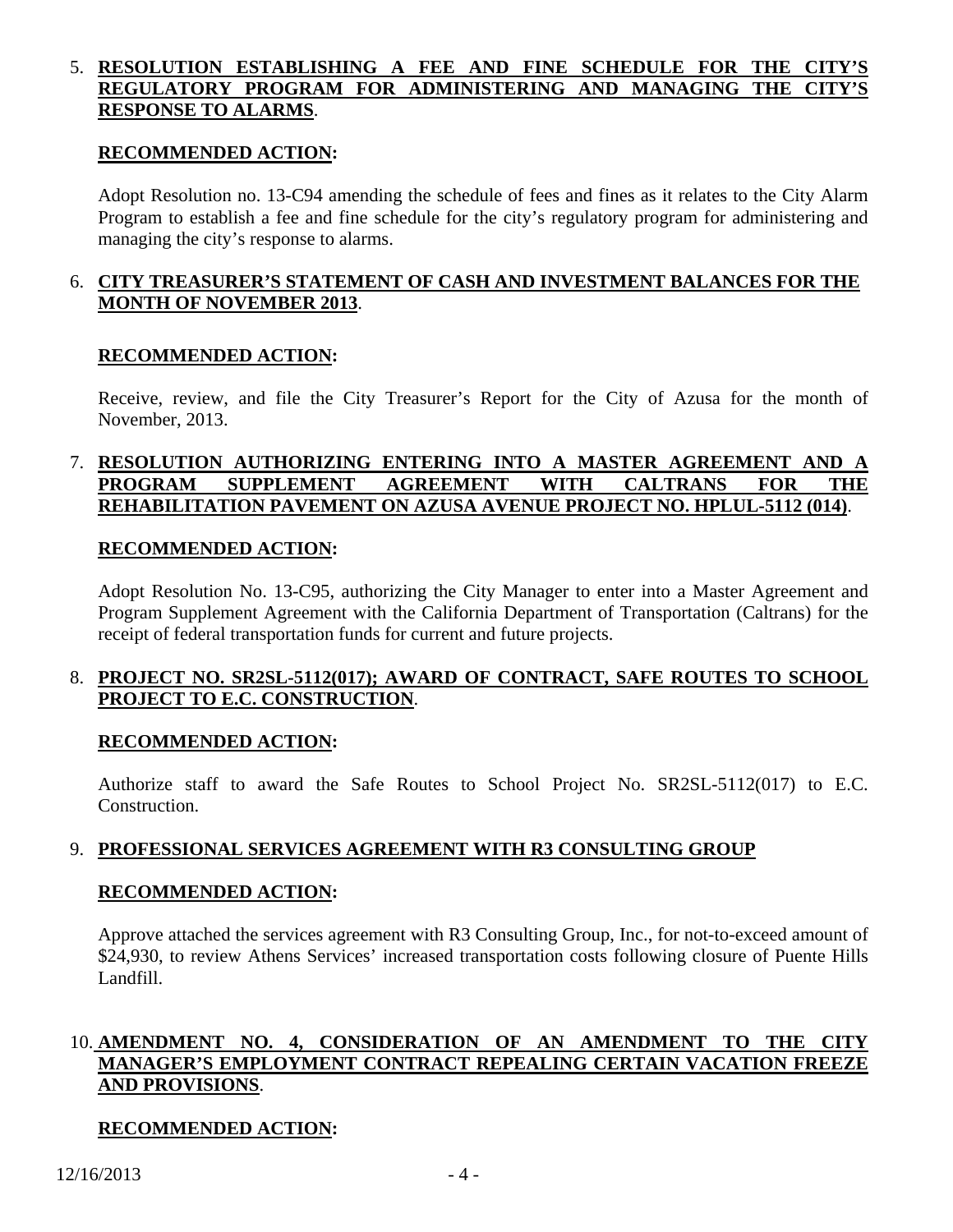### 5. RESOLUTION ESTABLISHING A FEE AND FINE SCHEDULE FOR THE **REGULATORY PROGRAM FOR ADMINISTERING AND MANAGING THE CITY'S RESPONSE TO ALARMS**.

#### **RECOMMENDED ACTION:**

Adopt Resolution no. 13-C94 amending the schedule of fees and fines as it relates to the City Alarm Program to establish a fee and fine schedule for the city's regulatory program for administering and managing the city's response to alarms.

### 6. **CITY TREASURER'S STATEMENT OF CASH AND INVESTMENT BALANCES FOR THE MONTH OF NOVEMBER 2013**.

#### **RECOMMENDED ACTION:**

Receive, review, and file the City Treasurer's Report for the City of Azusa for the month of November, 2013.

### 7. **RESOLUTION AUTHORIZING ENTERING INTO A MASTER AGREEMENT AND A PROGRAM SUPPLEMENT AGREEMENT WITH CALTRANS FOR THE REHABILITATION PAVEMENT ON AZUSA AVENUE PROJECT NO. HPLUL-5112 (014)**.

#### **RECOMMENDED ACTION:**

Adopt Resolution No. 13-C95, authorizing the City Manager to enter into a Master Agreement and Program Supplement Agreement with the California Department of Transportation (Caltrans) for the receipt of federal transportation funds for current and future projects.

### 8. **PROJECT NO. SR2SL-5112(017); AWARD OF CONTRACT, SAFE ROUTES TO SCHOOL PROJECT TO E.C. CONSTRUCTION**.

#### **RECOMMENDED ACTION:**

Authorize staff to award the Safe Routes to School Project No. SR2SL-5112(017) to E.C. Construction.

## 9. **PROFESSIONAL SERVICES AGREEMENT WITH R3 CONSULTING GROUP**

#### **RECOMMENDED ACTION:**

Approve attached the services agreement with R3 Consulting Group, Inc., for not-to-exceed amount of \$24,930, to review Athens Services' increased transportation costs following closure of Puente Hills Landfill.

### 10. **AMENDMENT NO. 4, CONSIDERATION OF AN AMENDMENT TO THE CITY MANAGER'S EMPLOYMENT CONTRACT REPEALING CERTAIN VACATION FREEZE AND PROVISIONS**.

## **RECOMMENDED ACTION:**